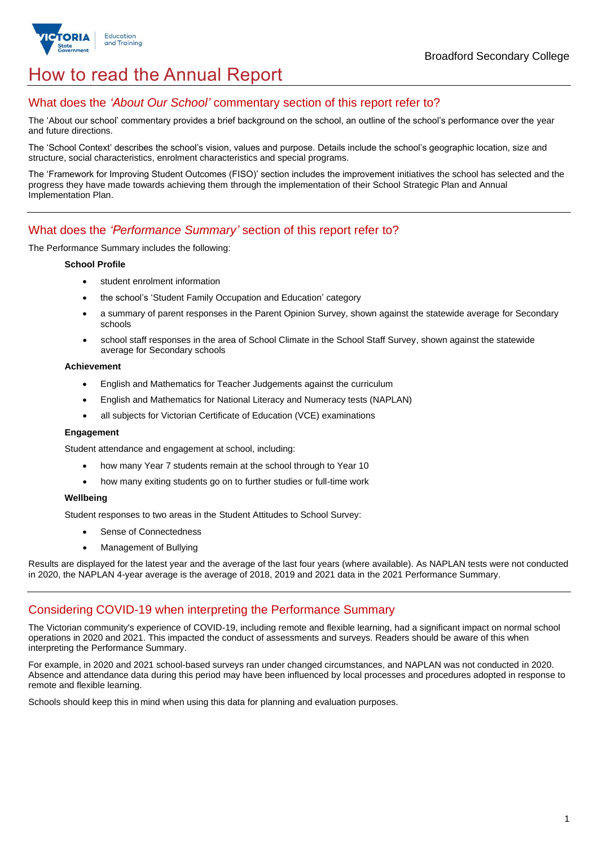

## How to read the Annual Report

#### What does the *'About Our School'* commentary section of this report refer to?

The 'About our school' commentary provides a brief background on the school, an outline of the school's performance over the year and future directions.

The 'School Context' describes the school's vision, values and purpose. Details include the school's geographic location, size and structure, social characteristics, enrolment characteristics and special programs.

The 'Framework for Improving Student Outcomes (FISO)' section includes the improvement initiatives the school has selected and the progress they have made towards achieving them through the implementation of their School Strategic Plan and Annual Implementation Plan.

#### What does the *'Performance Summary'* section of this report refer to?

The Performance Summary includes the following:

#### **School Profile**

- student enrolment information
- the school's 'Student Family Occupation and Education' category
- a summary of parent responses in the Parent Opinion Survey, shown against the statewide average for Secondary schools
- school staff responses in the area of School Climate in the School Staff Survey, shown against the statewide average for Secondary schools

#### **Achievement**

- English and Mathematics for Teacher Judgements against the curriculum
- English and Mathematics for National Literacy and Numeracy tests (NAPLAN)
- all subjects for Victorian Certificate of Education (VCE) examinations

#### **Engagement**

Student attendance and engagement at school, including:

- how many Year 7 students remain at the school through to Year 10
- how many exiting students go on to further studies or full-time work

#### **Wellbeing**

Student responses to two areas in the Student Attitudes to School Survey:

- Sense of Connectedness
- Management of Bullying

Results are displayed for the latest year and the average of the last four years (where available). As NAPLAN tests were not conducted in 2020, the NAPLAN 4-year average is the average of 2018, 2019 and 2021 data in the 2021 Performance Summary.

#### Considering COVID-19 when interpreting the Performance Summary

The Victorian community's experience of COVID-19, including remote and flexible learning, had a significant impact on normal school operations in 2020 and 2021. This impacted the conduct of assessments and surveys. Readers should be aware of this when interpreting the Performance Summary.

For example, in 2020 and 2021 school-based surveys ran under changed circumstances, and NAPLAN was not conducted in 2020. Absence and attendance data during this period may have been influenced by local processes and procedures adopted in response to remote and flexible learning.

Schools should keep this in mind when using this data for planning and evaluation purposes.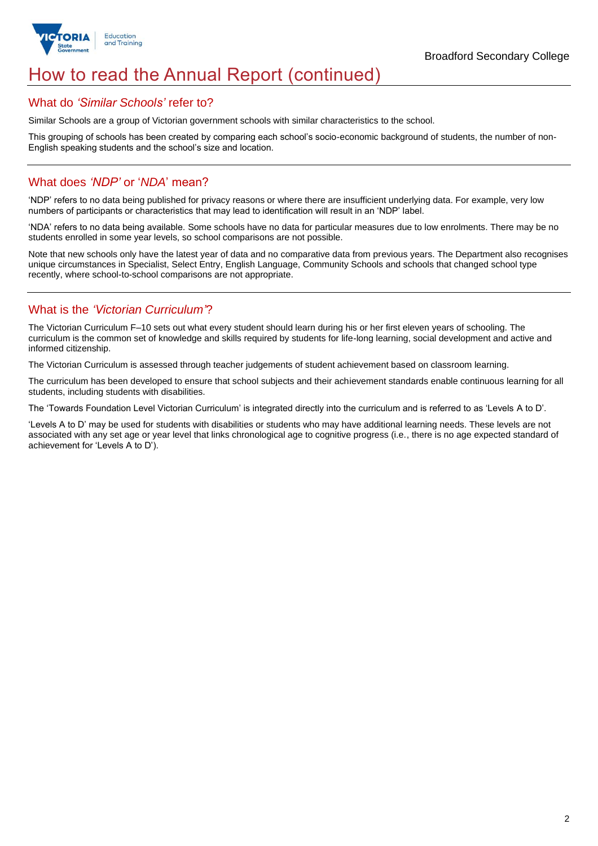

## How to read the Annual Report (continued)

#### What do *'Similar Schools'* refer to?

Similar Schools are a group of Victorian government schools with similar characteristics to the school.

This grouping of schools has been created by comparing each school's socio-economic background of students, the number of non-English speaking students and the school's size and location.

#### What does *'NDP'* or '*NDA*' mean?

'NDP' refers to no data being published for privacy reasons or where there are insufficient underlying data. For example, very low numbers of participants or characteristics that may lead to identification will result in an 'NDP' label.

'NDA' refers to no data being available. Some schools have no data for particular measures due to low enrolments. There may be no students enrolled in some year levels, so school comparisons are not possible.

Note that new schools only have the latest year of data and no comparative data from previous years. The Department also recognises unique circumstances in Specialist, Select Entry, English Language, Community Schools and schools that changed school type recently, where school-to-school comparisons are not appropriate.

### What is the *'Victorian Curriculum'*?

The Victorian Curriculum F–10 sets out what every student should learn during his or her first eleven years of schooling. The curriculum is the common set of knowledge and skills required by students for life-long learning, social development and active and informed citizenship.

The Victorian Curriculum is assessed through teacher judgements of student achievement based on classroom learning.

The curriculum has been developed to ensure that school subjects and their achievement standards enable continuous learning for all students, including students with disabilities.

The 'Towards Foundation Level Victorian Curriculum' is integrated directly into the curriculum and is referred to as 'Levels A to D'.

'Levels A to D' may be used for students with disabilities or students who may have additional learning needs. These levels are not associated with any set age or year level that links chronological age to cognitive progress (i.e., there is no age expected standard of achievement for 'Levels A to D').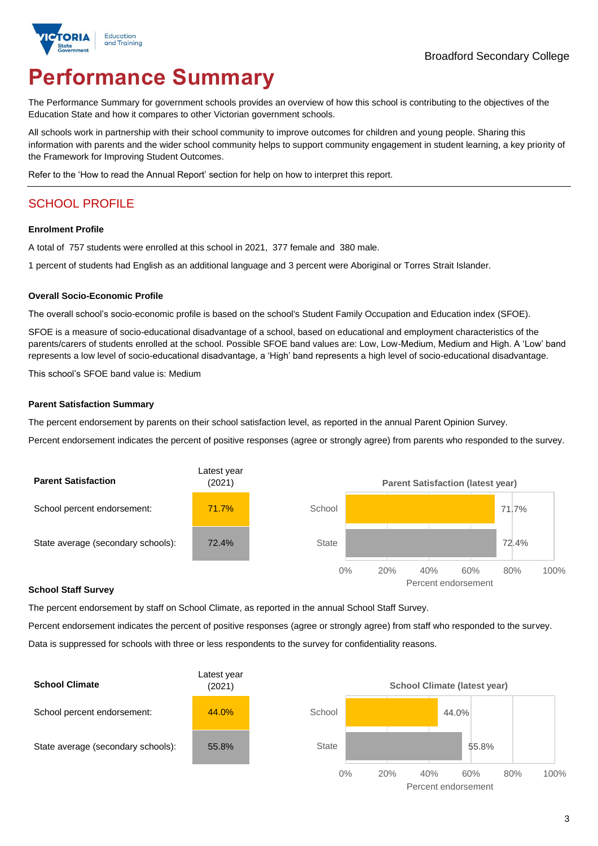

# **Performance Summary**

The Performance Summary for government schools provides an overview of how this school is contributing to the objectives of the Education State and how it compares to other Victorian government schools.

All schools work in partnership with their school community to improve outcomes for children and young people. Sharing this information with parents and the wider school community helps to support community engagement in student learning, a key priority of the Framework for Improving Student Outcomes.

Refer to the 'How to read the Annual Report' section for help on how to interpret this report.

## SCHOOL PROFILE

#### **Enrolment Profile**

A total of 757 students were enrolled at this school in 2021, 377 female and 380 male.

1 percent of students had English as an additional language and 3 percent were Aboriginal or Torres Strait Islander.

#### **Overall Socio-Economic Profile**

The overall school's socio-economic profile is based on the school's Student Family Occupation and Education index (SFOE).

SFOE is a measure of socio-educational disadvantage of a school, based on educational and employment characteristics of the parents/carers of students enrolled at the school. Possible SFOE band values are: Low, Low-Medium, Medium and High. A 'Low' band represents a low level of socio-educational disadvantage, a 'High' band represents a high level of socio-educational disadvantage.

This school's SFOE band value is: Medium

#### **Parent Satisfaction Summary**

The percent endorsement by parents on their school satisfaction level, as reported in the annual Parent Opinion Survey.

Percent endorsement indicates the percent of positive responses (agree or strongly agree) from parents who responded to the survey.



#### **School Staff Survey**

The percent endorsement by staff on School Climate, as reported in the annual School Staff Survey.

Percent endorsement indicates the percent of positive responses (agree or strongly agree) from staff who responded to the survey. Data is suppressed for schools with three or less respondents to the survey for confidentiality reasons.

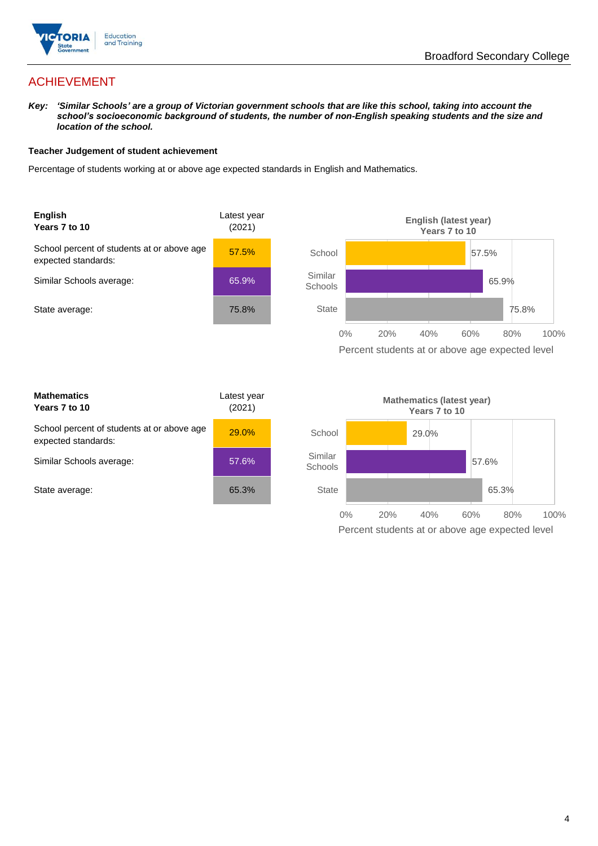

## ACHIEVEMENT

*Key: 'Similar Schools' are a group of Victorian government schools that are like this school, taking into account the school's socioeconomic background of students, the number of non-English speaking students and the size and location of the school.*

#### **Teacher Judgement of student achievement**

Percentage of students working at or above age expected standards in English and Mathematics.



| <b>Mathematics</b><br>Years 7 to 10                               | Latest year<br>(2021) |  |
|-------------------------------------------------------------------|-----------------------|--|
| School percent of students at or above age<br>expected standards: | 29.0%                 |  |
| Similar Schools average:                                          | 57.6%                 |  |
| State average:                                                    | 65.3%                 |  |

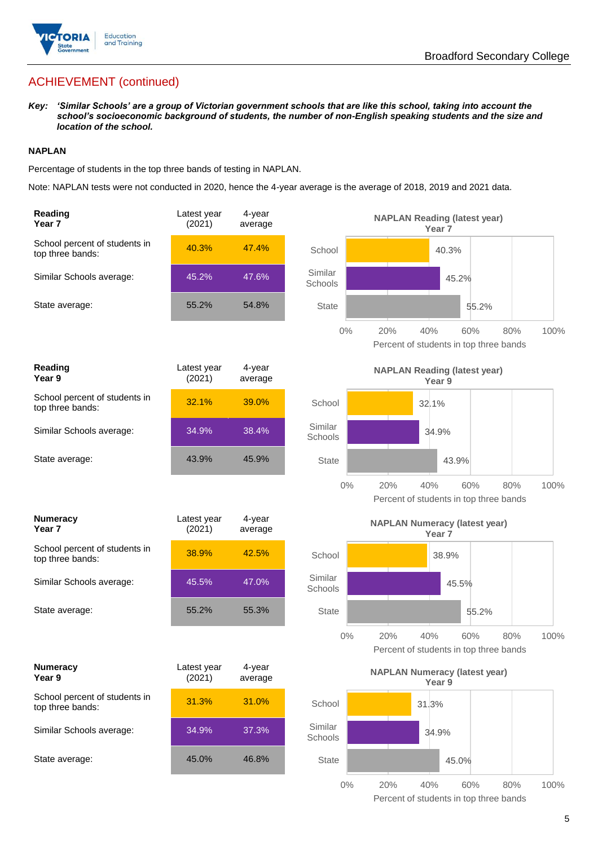

## ACHIEVEMENT (continued)

*Key: 'Similar Schools' are a group of Victorian government schools that are like this school, taking into account the school's socioeconomic background of students, the number of non-English speaking students and the size and location of the school.*

#### **NAPLAN**

Percentage of students in the top three bands of testing in NAPLAN.

Note: NAPLAN tests were not conducted in 2020, hence the 4-year average is the average of 2018, 2019 and 2021 data.

| Reading<br>Year 7                                 | Latest year<br>(2021) | 4-year<br>average | <b>NAPLAN Reading (latest year)</b><br>Year <sub>7</sub>                            |
|---------------------------------------------------|-----------------------|-------------------|-------------------------------------------------------------------------------------|
| School percent of students in<br>top three bands: | 40.3%                 | 47.4%             | School<br>40.3%                                                                     |
| Similar Schools average:                          | 45.2%                 | 47.6%             | Similar<br>45.2%<br>Schools                                                         |
| State average:                                    | 55.2%                 | 54.8%             | <b>State</b><br>55.2%                                                               |
|                                                   |                       |                   | $0\%$<br>20%<br>40%<br>60%<br>80%<br>100%<br>Percent of students in top three bands |
| Reading<br>Year 9                                 | Latest year<br>(2021) | 4-year<br>average | <b>NAPLAN Reading (latest year)</b><br>Year <sub>9</sub>                            |
| School percent of students in<br>top three bands: | 32.1%                 | 39.0%             | School<br>32.1%                                                                     |
| Similar Schools average:                          | 34.9%                 | 38.4%             | Similar<br>34.9%<br>Schools                                                         |
| State average:                                    | 43.9%                 | 45.9%             | <b>State</b><br>43.9%                                                               |
|                                                   |                       |                   | $0\%$<br>20%<br>40%<br>100%<br>60%<br>80%<br>Percent of students in top three bands |
| <b>Numeracy</b><br>Year <sub>7</sub>              | Latest year<br>(2021) | 4-year<br>average | <b>NAPLAN Numeracy (latest year)</b><br>Year <sub>7</sub>                           |
|                                                   |                       |                   |                                                                                     |
| School percent of students in<br>top three bands: | 38.9%                 | 42.5%             | School<br>38.9%                                                                     |
| Similar Schools average:                          | 45.5%                 | 47.0%             | Similar<br>45.5%<br>Schools                                                         |
| State average:                                    | 55.2%                 | 55.3%             | <b>State</b><br>55.2%                                                               |
|                                                   |                       |                   | $0\%$<br>20%<br>40%<br>60%<br>80%<br>100%<br>Percent of students in top three bands |
| <b>Numeracy</b><br>Year 9                         | Latest year<br>(2021) | 4-year<br>average | <b>NAPLAN Numeracy (latest year)</b><br>Year 9                                      |
| School percent of students in<br>top three bands: | 31.3%                 | 31.0%             | School<br>31.3%                                                                     |
| Similar Schools average:                          | 34.9%                 | 37.3%             | Similar<br>34.9%<br>Schools                                                         |
| State average:                                    | 45.0%                 | 46.8%             | <b>State</b><br>45.0%                                                               |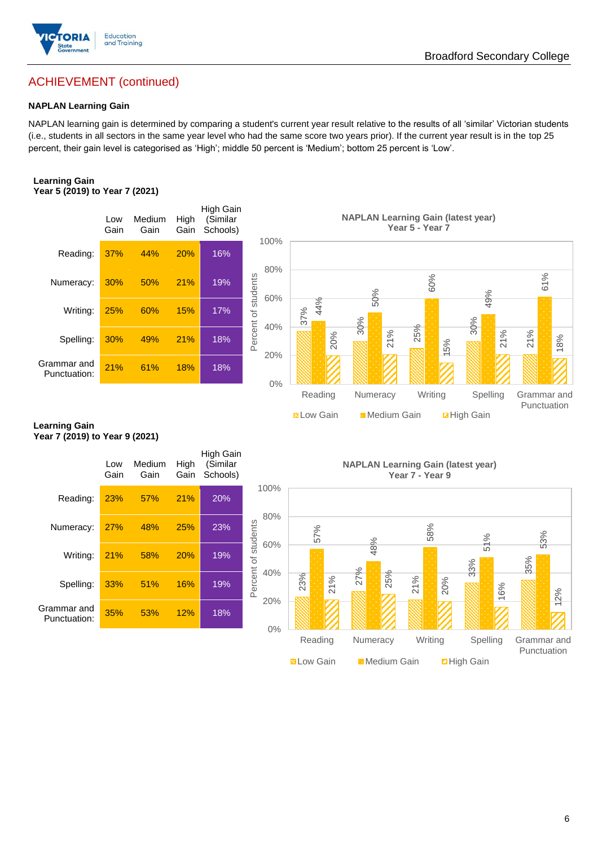

## ACHIEVEMENT (continued)

#### **NAPLAN Learning Gain**

NAPLAN learning gain is determined by comparing a student's current year result relative to the results of all 'similar' Victorian students (i.e., students in all sectors in the same year level who had the same score two years prior). If the current year result is in the top 25 percent, their gain level is categorised as 'High'; middle 50 percent is 'Medium'; bottom 25 percent is 'Low'.

#### **Learning Gain Year 5 (2019) to Year 7 (2021)**



#### **Learning Gain Year 7 (2019) to Year 9 (2021)**

|                             | Low<br>Gain | Medium<br>Gain | High<br>Gain | High Gain<br>(Similar<br>Schools) |                     |
|-----------------------------|-------------|----------------|--------------|-----------------------------------|---------------------|
| Reading:                    | 23%         | 57%            | 21%          | 20%                               | 1                   |
| Numeracy:                   | 27%         | 48%            | 25%          | 23%                               |                     |
| Writing:                    | 21%         | 58%            | 20%          | 19%                               | Percent of students |
| Spelling:                   | 33%         | 51%            | 16%          | 19%                               |                     |
| Grammar and<br>Punctuation: | 35%         | 53%            | 12%          | 18%                               |                     |

**NAPLAN Learning Gain (latest year) Year 7 - Year 9**

**N** Low Gain **Medium Gain E** High Gain



Broadford Secondary College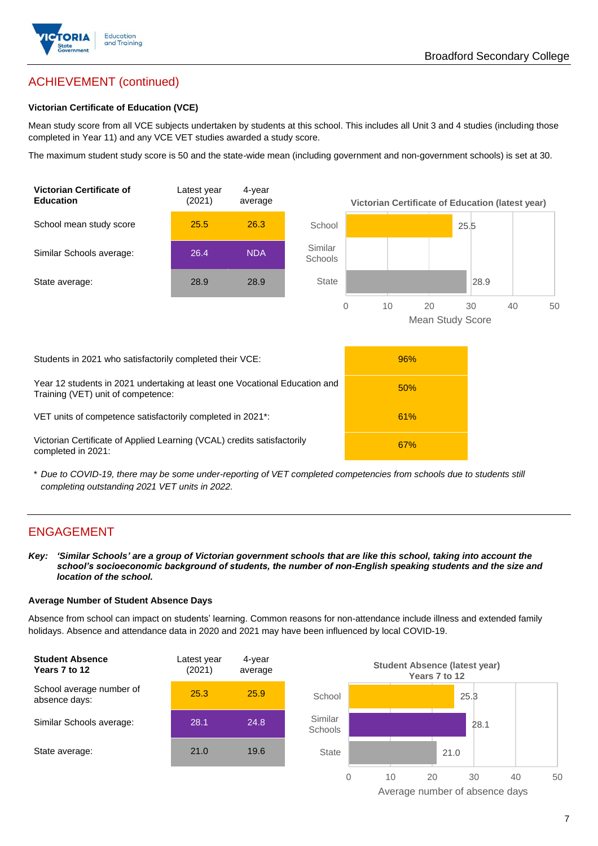

## ACHIEVEMENT (continued)

#### **Victorian Certificate of Education (VCE)**

Mean study score from all VCE subjects undertaken by students at this school. This includes all Unit 3 and 4 studies (including those completed in Year 11) and any VCE VET studies awarded a study score.

The maximum student study score is 50 and the state-wide mean (including government and non-government schools) is set at 30.



\* *Due to COVID-19, there may be some under-reporting of VET completed competencies from schools due to students still completing outstanding 2021 VET units in 2022.*

#### ENGAGEMENT

*Key: 'Similar Schools' are a group of Victorian government schools that are like this school, taking into account the school's socioeconomic background of students, the number of non-English speaking students and the size and location of the school.*

#### **Average Number of Student Absence Days**

Absence from school can impact on students' learning. Common reasons for non-attendance include illness and extended family holidays. Absence and attendance data in 2020 and 2021 may have been influenced by local COVID-19.



Average number of absence days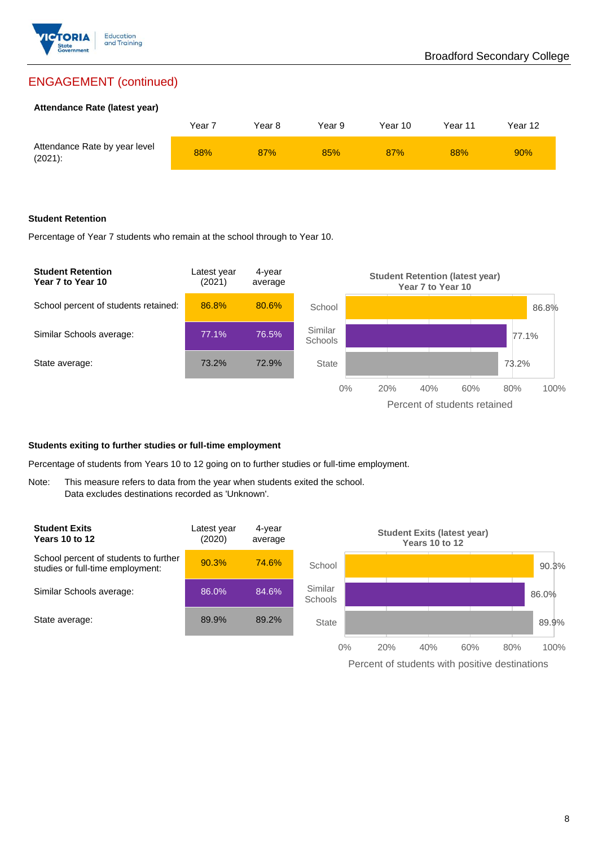

## ENGAGEMENT (continued)

#### **Attendance Rate (latest year)**

|                                             | Year 7 | Year 8 | Year 9 | Year 10 | Year 11 | Year 12 |
|---------------------------------------------|--------|--------|--------|---------|---------|---------|
| Attendance Rate by year level<br>$(2021)$ : | 88%    | 87%    | 85%    | 87%     | 88%     | 90%     |

#### **Student Retention**

Percentage of Year 7 students who remain at the school through to Year 10.



#### **Students exiting to further studies or full-time employment**

Percentage of students from Years 10 to 12 going on to further studies or full-time employment.

Note: This measure refers to data from the year when students exited the school. Data excludes destinations recorded as 'Unknown'.



Percent of students with positive destinations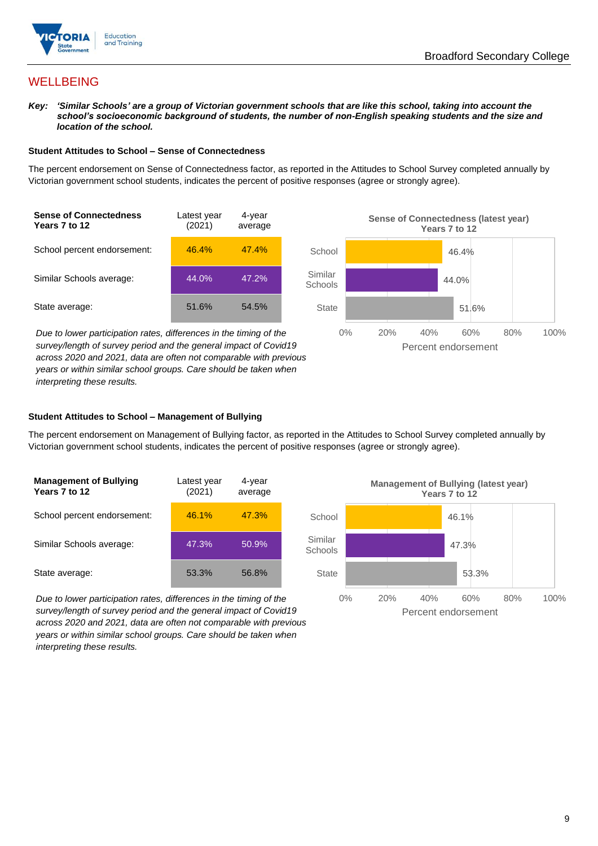



### **WELLBEING**

*Key: 'Similar Schools' are a group of Victorian government schools that are like this school, taking into account the school's socioeconomic background of students, the number of non-English speaking students and the size and location of the school.*

#### **Student Attitudes to School – Sense of Connectedness**

The percent endorsement on Sense of Connectedness factor, as reported in the Attitudes to School Survey completed annually by Victorian government school students, indicates the percent of positive responses (agree or strongly agree).



*Due to lower participation rates, differences in the timing of the survey/length of survey period and the general impact of Covid19 across 2020 and 2021, data are often not comparable with previous years or within similar school groups. Care should be taken when interpreting these results.*



#### **Student Attitudes to School – Management of Bullying**

The percent endorsement on Management of Bullying factor, as reported in the Attitudes to School Survey completed annually by Victorian government school students, indicates the percent of positive responses (agree or strongly agree).

| <b>Management of Bullying</b><br>Years 7 to 12 | Latest year<br>(2021) | 4-year<br>average |  |
|------------------------------------------------|-----------------------|-------------------|--|
| School percent endorsement:                    | 46.1%                 | 47.3%             |  |
| Similar Schools average:                       | 47.3%                 | 50.9%             |  |
| State average:                                 | 53.3%                 | 56.8%             |  |

*Due to lower participation rates, differences in the timing of the survey/length of survey period and the general impact of Covid19 across 2020 and 2021, data are often not comparable with previous years or within similar school groups. Care should be taken when interpreting these results.*

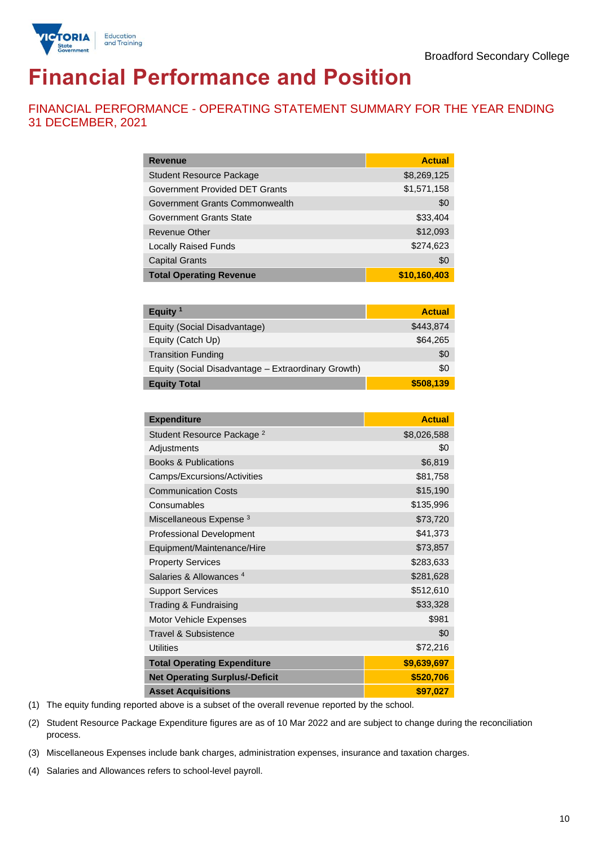

# **Financial Performance and Position**

FINANCIAL PERFORMANCE - OPERATING STATEMENT SUMMARY FOR THE YEAR ENDING 31 DECEMBER, 2021

| <b>Revenue</b>                  | <b>Actual</b> |
|---------------------------------|---------------|
| <b>Student Resource Package</b> | \$8,269,125   |
| Government Provided DET Grants  | \$1,571,158   |
| Government Grants Commonwealth  | \$0           |
| Government Grants State         | \$33,404      |
| <b>Revenue Other</b>            | \$12,093      |
| <b>Locally Raised Funds</b>     | \$274,623     |
| <b>Capital Grants</b>           | \$0           |
| <b>Total Operating Revenue</b>  | \$10,160,403  |

| Equity $1$                                          | <b>Actual</b> |
|-----------------------------------------------------|---------------|
| Equity (Social Disadvantage)                        | \$443.874     |
| Equity (Catch Up)                                   | \$64,265      |
| <b>Transition Funding</b>                           | \$0           |
| Equity (Social Disadvantage - Extraordinary Growth) | \$0           |
| <b>Equity Total</b>                                 | \$508,139     |

| <b>Expenditure</b>                    | <b>Actual</b> |
|---------------------------------------|---------------|
| Student Resource Package <sup>2</sup> | \$8,026,588   |
| Adjustments                           | \$0           |
| <b>Books &amp; Publications</b>       | \$6,819       |
| Camps/Excursions/Activities           | \$81,758      |
| <b>Communication Costs</b>            | \$15,190      |
| Consumables                           | \$135,996     |
| Miscellaneous Expense <sup>3</sup>    | \$73,720      |
| <b>Professional Development</b>       | \$41,373      |
| Equipment/Maintenance/Hire            | \$73,857      |
| <b>Property Services</b>              | \$283,633     |
| Salaries & Allowances <sup>4</sup>    | \$281,628     |
| <b>Support Services</b>               | \$512,610     |
| Trading & Fundraising                 | \$33,328      |
| Motor Vehicle Expenses                | \$981         |
| Travel & Subsistence                  | \$0           |
| <b>Utilities</b>                      | \$72,216      |
| <b>Total Operating Expenditure</b>    | \$9,639,697   |
| <b>Net Operating Surplus/-Deficit</b> | \$520,706     |
| <b>Asset Acquisitions</b>             | \$97,027      |

(1) The equity funding reported above is a subset of the overall revenue reported by the school.

(2) Student Resource Package Expenditure figures are as of 10 Mar 2022 and are subject to change during the reconciliation process.

(3) Miscellaneous Expenses include bank charges, administration expenses, insurance and taxation charges.

(4) Salaries and Allowances refers to school-level payroll.